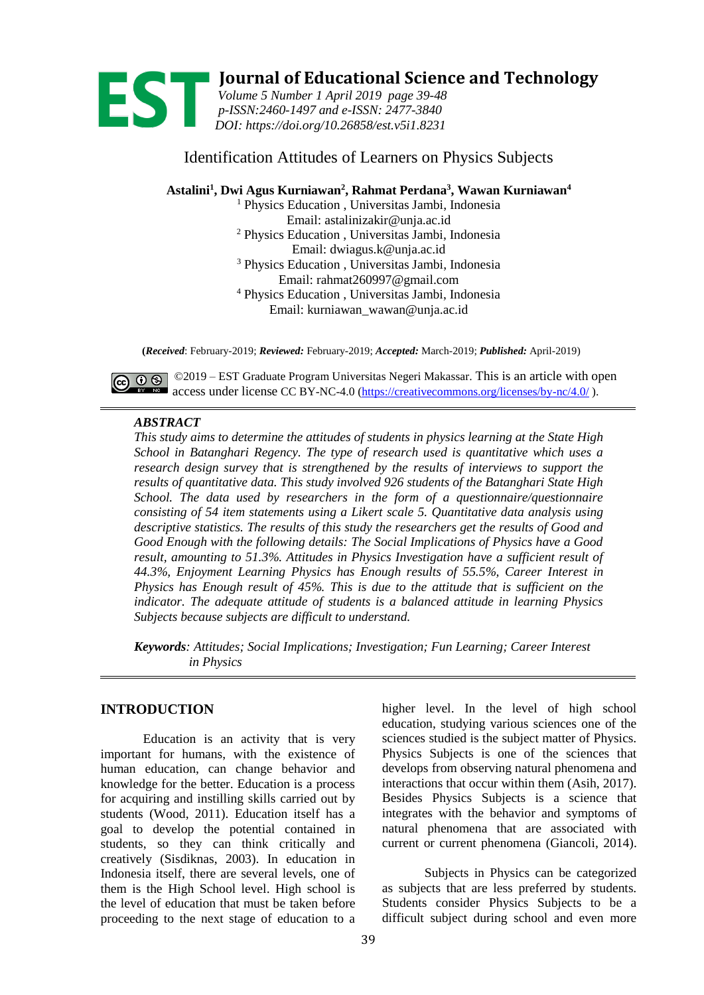

**19 Journal of Educational Science and Technology**<br> *Volume 5 Number 1 April 2019 page 39-48*<br> *p-ISSN:2460-1497 and e-ISSN: 2477-3840 Volume 5 Number 1 April 2019 page 39-48 p-ISSN[:2460-1497](http://u.lipi.go.id/1432633347) and e-ISSN: [2477-3840](http://u.lipi.go.id/1446609419) DOI: <https://doi.org/10.26858/est.v5i1.8231>*

# Identification Attitudes of Learners on Physics Subjects

**Astalini<sup>1</sup> , Dwi Agus Kurniawan<sup>2</sup> , Rahmat Perdana<sup>3</sup> , Wawan Kurniawan<sup>4</sup>**

<sup>1</sup> Physics Education , Universitas Jambi, Indonesia Email: astalinizakir@unja.ac.id <sup>2</sup> Physics Education , Universitas Jambi, Indonesia Email: dwiagus.k@unja.ac.id <sup>3</sup> Physics Education , Universitas Jambi, Indonesia Email[: rahmat260997@gmail.com](mailto:rahmat260997@gmail.com) <sup>4</sup> Physics Education , Universitas Jambi, Indonesia Email: kurniawan\_wawan@unja.ac.id

**(***Received*: February-2019; *Reviewed:* February-2019; *Accepted:* March-2019; *Published:* April-2019)

©  $\odot$  © 2019 – EST Graduate Program Universitas Negeri Makassar. This is an article with open access under license CC BY-NC-4.0 [\(https://creativecommons.org/licenses/by-nc/4.0/](https://creativecommons.org/licenses/by-nc/4.0/) ).

## *ABSTRACT*

*This study aims to determine the attitudes of students in physics learning at the State High School in Batanghari Regency. The type of research used is quantitative which uses a research design survey that is strengthened by the results of interviews to support the results of quantitative data. This study involved 926 students of the Batanghari State High School. The data used by researchers in the form of a questionnaire/questionnaire consisting of 54 item statements using a Likert scale 5. Quantitative data analysis using descriptive statistics. The results of this study the researchers get the results of Good and Good Enough with the following details: The Social Implications of Physics have a Good result, amounting to 51.3%. Attitudes in Physics Investigation have a sufficient result of 44.3%, Enjoyment Learning Physics has Enough results of 55.5%, Career Interest in Physics has Enough result of 45%. This is due to the attitude that is sufficient on the indicator. The adequate attitude of students is a balanced attitude in learning Physics Subjects because subjects are difficult to understand.*

*Keywords: Attitudes; Social Implications; Investigation; Fun Learning; Career Interest in Physics*

# **INTRODUCTION**

Education is an activity that is very important for humans, with the existence of human education, can change behavior and knowledge for the better. Education is a process for acquiring and instilling skills carried out by students (Wood, 2011). Education itself has a goal to develop the potential contained in students, so they can think critically and creatively (Sisdiknas, 2003). In education in Indonesia itself, there are several levels, one of them is the High School level. High school is the level of education that must be taken before proceeding to the next stage of education to a

higher level. In the level of high school education, studying various sciences one of the sciences studied is the subject matter of Physics. Physics Subjects is one of the sciences that develops from observing natural phenomena and interactions that occur within them (Asih, 2017). Besides Physics Subjects is a science that integrates with the behavior and symptoms of natural phenomena that are associated with current or current phenomena (Giancoli, 2014).

Subjects in Physics can be categorized as subjects that are less preferred by students. Students consider Physics Subjects to be a difficult subject during school and even more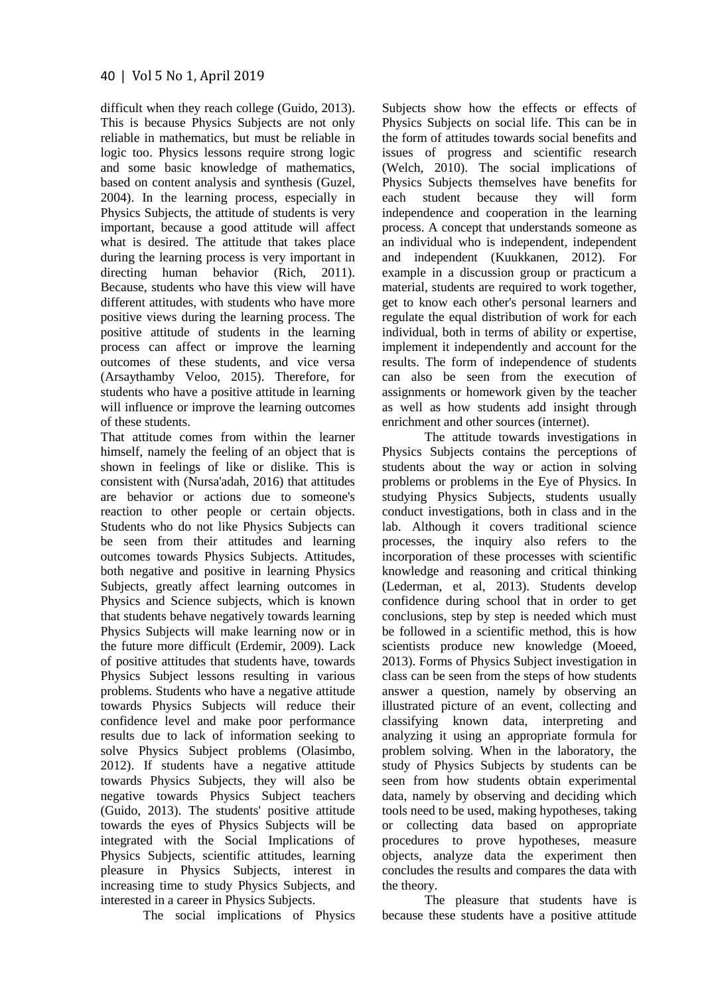difficult when they reach college (Guido, 2013). This is because Physics Subjects are not only reliable in mathematics, but must be reliable in logic too. Physics lessons require strong logic and some basic knowledge of mathematics, based on content analysis and synthesis (Guzel, 2004). In the learning process, especially in Physics Subjects, the attitude of students is very important, because a good attitude will affect what is desired. The attitude that takes place during the learning process is very important in directing human behavior (Rich, 2011). Because, students who have this view will have different attitudes, with students who have more positive views during the learning process. The positive attitude of students in the learning process can affect or improve the learning outcomes of these students, and vice versa (Arsaythamby Veloo, 2015). Therefore, for students who have a positive attitude in learning will influence or improve the learning outcomes of these students.

That attitude comes from within the learner himself, namely the feeling of an object that is shown in feelings of like or dislike. This is consistent with (Nursa'adah, 2016) that attitudes are behavior or actions due to someone's reaction to other people or certain objects. Students who do not like Physics Subjects can be seen from their attitudes and learning outcomes towards Physics Subjects. Attitudes, both negative and positive in learning Physics Subjects, greatly affect learning outcomes in Physics and Science subjects, which is known that students behave negatively towards learning Physics Subjects will make learning now or in the future more difficult (Erdemir, 2009). Lack of positive attitudes that students have, towards Physics Subject lessons resulting in various problems. Students who have a negative attitude towards Physics Subjects will reduce their confidence level and make poor performance results due to lack of information seeking to solve Physics Subject problems (Olasimbo, 2012). If students have a negative attitude towards Physics Subjects, they will also be negative towards Physics Subject teachers (Guido, 2013). The students' positive attitude towards the eyes of Physics Subjects will be integrated with the Social Implications of Physics Subjects, scientific attitudes, learning pleasure in Physics Subjects, interest in increasing time to study Physics Subjects, and interested in a career in Physics Subjects.

The social implications of Physics

Subjects show how the effects or effects of Physics Subjects on social life. This can be in the form of attitudes towards social benefits and issues of progress and scientific research (Welch, 2010). The social implications of Physics Subjects themselves have benefits for each student because they will form independence and cooperation in the learning process. A concept that understands someone as an individual who is independent, independent and independent (Kuukkanen, 2012). For example in a discussion group or practicum a material, students are required to work together, get to know each other's personal learners and regulate the equal distribution of work for each individual, both in terms of ability or expertise, implement it independently and account for the results. The form of independence of students can also be seen from the execution of assignments or homework given by the teacher as well as how students add insight through enrichment and other sources (internet).

The attitude towards investigations in Physics Subjects contains the perceptions of students about the way or action in solving problems or problems in the Eye of Physics. In studying Physics Subjects, students usually conduct investigations, both in class and in the lab. Although it covers traditional science processes, the inquiry also refers to the incorporation of these processes with scientific knowledge and reasoning and critical thinking (Lederman, et al, 2013). Students develop confidence during school that in order to get conclusions, step by step is needed which must be followed in a scientific method, this is how scientists produce new knowledge (Moeed, 2013). Forms of Physics Subject investigation in class can be seen from the steps of how students answer a question, namely by observing an illustrated picture of an event, collecting and classifying known data, interpreting and analyzing it using an appropriate formula for problem solving. When in the laboratory, the study of Physics Subjects by students can be seen from how students obtain experimental data, namely by observing and deciding which tools need to be used, making hypotheses, taking or collecting data based on appropriate procedures to prove hypotheses, measure objects, analyze data the experiment then concludes the results and compares the data with the theory.

The pleasure that students have is because these students have a positive attitude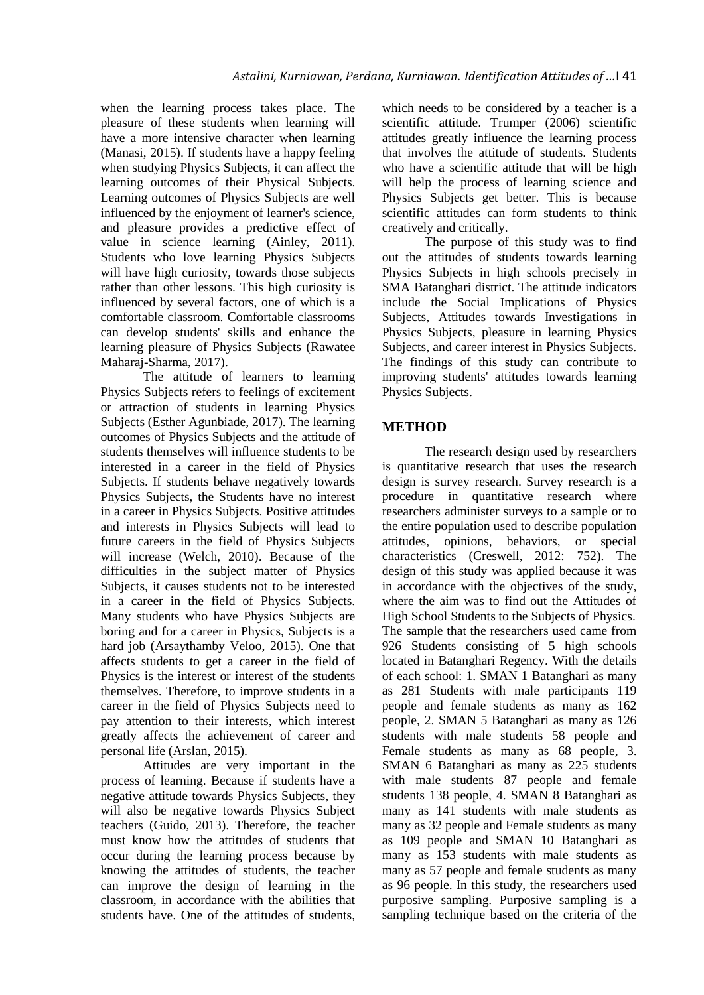when the learning process takes place. The pleasure of these students when learning will have a more intensive character when learning (Manasi, 2015). If students have a happy feeling when studying Physics Subjects, it can affect the learning outcomes of their Physical Subjects. Learning outcomes of Physics Subjects are well influenced by the enjoyment of learner's science, and pleasure provides a predictive effect of value in science learning (Ainley, 2011). Students who love learning Physics Subjects will have high curiosity, towards those subjects rather than other lessons. This high curiosity is influenced by several factors, one of which is a comfortable classroom. Comfortable classrooms can develop students' skills and enhance the learning pleasure of Physics Subjects (Rawatee Maharaj-Sharma, 2017).

The attitude of learners to learning Physics Subjects refers to feelings of excitement or attraction of students in learning Physics Subjects (Esther Agunbiade, 2017). The learning outcomes of Physics Subjects and the attitude of students themselves will influence students to be interested in a career in the field of Physics Subjects. If students behave negatively towards Physics Subjects, the Students have no interest in a career in Physics Subjects. Positive attitudes and interests in Physics Subjects will lead to future careers in the field of Physics Subjects will increase (Welch, 2010). Because of the difficulties in the subject matter of Physics Subjects, it causes students not to be interested in a career in the field of Physics Subjects. Many students who have Physics Subjects are boring and for a career in Physics, Subjects is a hard job (Arsaythamby Veloo, 2015). One that affects students to get a career in the field of Physics is the interest or interest of the students themselves. Therefore, to improve students in a career in the field of Physics Subjects need to pay attention to their interests, which interest greatly affects the achievement of career and personal life (Arslan, 2015).

Attitudes are very important in the process of learning. Because if students have a negative attitude towards Physics Subjects, they will also be negative towards Physics Subject teachers (Guido, 2013). Therefore, the teacher must know how the attitudes of students that occur during the learning process because by knowing the attitudes of students, the teacher can improve the design of learning in the classroom, in accordance with the abilities that students have. One of the attitudes of students,

which needs to be considered by a teacher is a scientific attitude. Trumper (2006) scientific attitudes greatly influence the learning process that involves the attitude of students. Students who have a scientific attitude that will be high will help the process of learning science and Physics Subjects get better. This is because scientific attitudes can form students to think creatively and critically.

The purpose of this study was to find out the attitudes of students towards learning Physics Subjects in high schools precisely in SMA Batanghari district. The attitude indicators include the Social Implications of Physics Subjects, Attitudes towards Investigations in Physics Subjects, pleasure in learning Physics Subjects, and career interest in Physics Subjects. The findings of this study can contribute to improving students' attitudes towards learning Physics Subjects.

# **METHOD**

The research design used by researchers is quantitative research that uses the research design is survey research. Survey research is a procedure in quantitative research where researchers administer surveys to a sample or to the entire population used to describe population attitudes, opinions, behaviors, or special characteristics (Creswell, 2012: 752). The design of this study was applied because it was in accordance with the objectives of the study, where the aim was to find out the Attitudes of High School Students to the Subjects of Physics. The sample that the researchers used came from 926 Students consisting of 5 high schools located in Batanghari Regency. With the details of each school: 1. SMAN 1 Batanghari as many as 281 Students with male participants 119 people and female students as many as 162 people, 2. SMAN 5 Batanghari as many as 126 students with male students 58 people and Female students as many as 68 people, 3. SMAN 6 Batanghari as many as 225 students with male students 87 people and female students 138 people, 4. SMAN 8 Batanghari as many as 141 students with male students as many as 32 people and Female students as many as 109 people and SMAN 10 Batanghari as many as 153 students with male students as many as 57 people and female students as many as 96 people. In this study, the researchers used purposive sampling. Purposive sampling is a sampling technique based on the criteria of the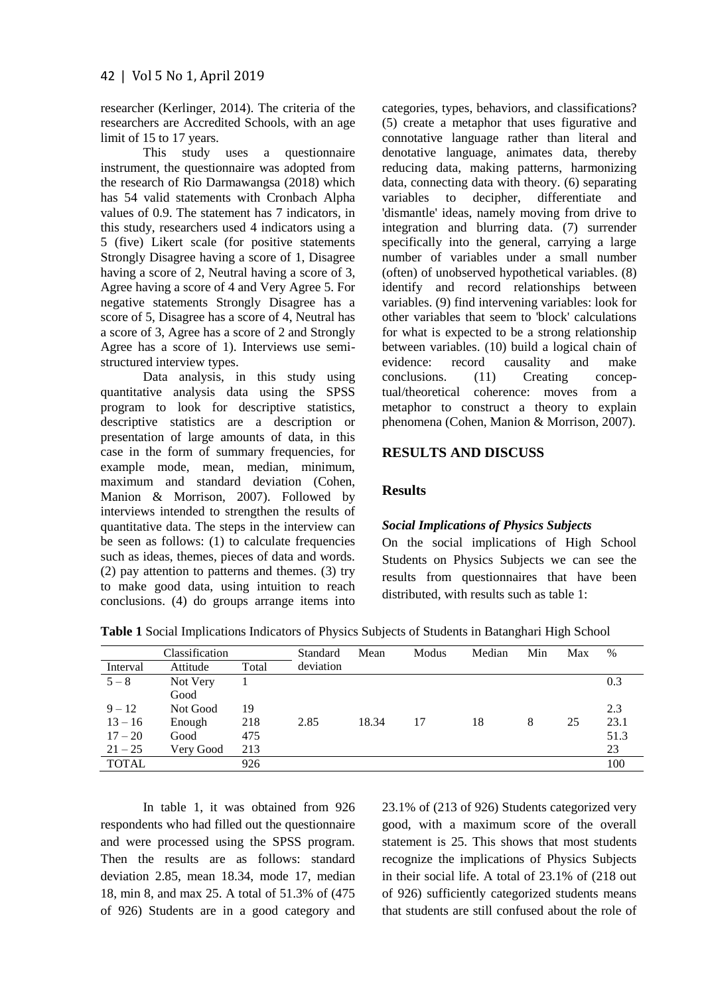researcher (Kerlinger, 2014). The criteria of the researchers are Accredited Schools, with an age limit of 15 to 17 years.

This study uses a questionnaire instrument, the questionnaire was adopted from the research of Rio Darmawangsa (2018) which has 54 valid statements with Cronbach Alpha values of 0.9. The statement has 7 indicators, in this study, researchers used 4 indicators using a 5 (five) Likert scale (for positive statements Strongly Disagree having a score of 1, Disagree having a score of 2, Neutral having a score of 3, Agree having a score of 4 and Very Agree 5. For negative statements Strongly Disagree has a score of 5, Disagree has a score of 4, Neutral has a score of 3, Agree has a score of 2 and Strongly Agree has a score of 1). Interviews use semistructured interview types.

Data analysis, in this study using quantitative analysis data using the SPSS program to look for descriptive statistics, descriptive statistics are a description or presentation of large amounts of data, in this case in the form of summary frequencies, for example mode, mean, median, minimum, maximum and standard deviation (Cohen, Manion & Morrison, 2007). Followed by interviews intended to strengthen the results of quantitative data. The steps in the interview can be seen as follows: (1) to calculate frequencies such as ideas, themes, pieces of data and words. (2) pay attention to patterns and themes. (3) try to make good data, using intuition to reach conclusions. (4) do groups arrange items into categories, types, behaviors, and classifications? (5) create a metaphor that uses figurative and connotative language rather than literal and denotative language, animates data, thereby reducing data, making patterns, harmonizing data, connecting data with theory. (6) separating variables to decipher, differentiate and 'dismantle' ideas, namely moving from drive to integration and blurring data. (7) surrender specifically into the general, carrying a large number of variables under a small number (often) of unobserved hypothetical variables. (8) identify and record relationships between variables. (9) find intervening variables: look for other variables that seem to 'block' calculations for what is expected to be a strong relationship between variables. (10) build a logical chain of evidence: record causality and make conclusions. (11) Creating conceptual/theoretical coherence: moves from a metaphor to construct a theory to explain phenomena (Cohen, Manion & Morrison, 2007).

# **RESULTS AND DISCUSS**

## **Results**

## *Social Implications of Physics Subjects*

On the social implications of High School Students on Physics Subjects we can see the results from questionnaires that have been distributed, with results such as table 1:

|              | Classification |       | Standard  | Mean  | Modus | Median | Min | Max | $\%$ |
|--------------|----------------|-------|-----------|-------|-------|--------|-----|-----|------|
| Interval     | Attitude       | Total | deviation |       |       |        |     |     |      |
| $5 - 8$      | Not Very       |       |           |       |       |        |     |     | 0.3  |
|              | Good           |       |           |       |       |        |     |     |      |
| $9 - 12$     | Not Good       | 19    |           |       |       |        |     |     | 2.3  |
| $13 - 16$    | Enough         | 218   | 2.85      | 18.34 | 17    | 18     | 8   | 25  | 23.1 |
| $17 - 20$    | Good           | 475   |           |       |       |        |     |     | 51.3 |
| $21 - 25$    | Very Good      | 213   |           |       |       |        |     |     | 23   |
| <b>TOTAL</b> |                | 926   |           |       |       |        |     |     | 100  |

**Table 1** Social Implications Indicators of Physics Subjects of Students in Batanghari High School

In table 1, it was obtained from 926 respondents who had filled out the questionnaire and were processed using the SPSS program. Then the results are as follows: standard deviation 2.85, mean 18.34, mode 17, median 18, min 8, and max 25. A total of 51.3% of (475 of 926) Students are in a good category and 23.1% of (213 of 926) Students categorized very good, with a maximum score of the overall statement is 25. This shows that most students recognize the implications of Physics Subjects in their social life. A total of 23.1% of (218 out of 926) sufficiently categorized students means that students are still confused about the role of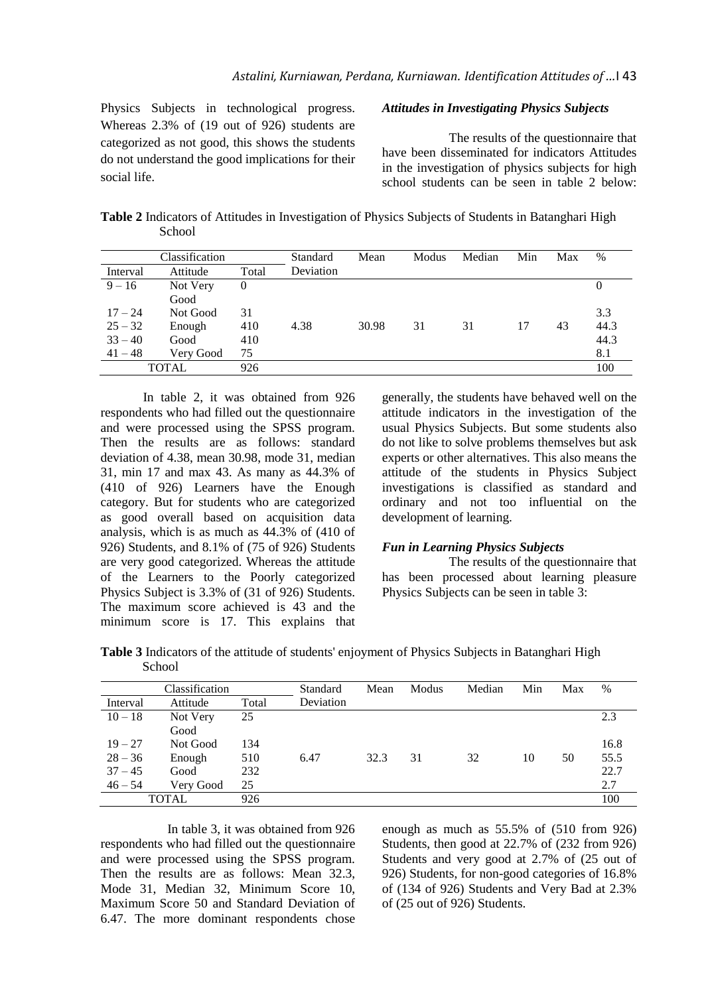Physics Subjects in technological progress. Whereas 2.3% of (19 out of 926) students are categorized as not good, this shows the students do not understand the good implications for their social life.

## *Attitudes in Investigating Physics Subjects*

The results of the questionnaire that have been disseminated for indicators Attitudes in the investigation of physics subjects for high school students can be seen in table 2 below:

**Table 2** Indicators of Attitudes in Investigation of Physics Subjects of Students in Batanghari High School

|              | Classification |       | Standard  | Mean  | Modus | Median | Min | Max | $\%$ |
|--------------|----------------|-------|-----------|-------|-------|--------|-----|-----|------|
| Interval     | Attitude       | Total | Deviation |       |       |        |     |     |      |
| $9 - 16$     | Not Very       | 0     |           |       |       |        |     |     | 0    |
|              | Good           |       |           |       |       |        |     |     |      |
| $17 - 24$    | Not Good       | 31    |           |       |       |        |     |     | 3.3  |
| $25 - 32$    | Enough         | 410   | 4.38      | 30.98 | 31    | 31     | 17  | 43  | 44.3 |
| $33 - 40$    | Good           | 410   |           |       |       |        |     |     | 44.3 |
| $41 - 48$    | Very Good      | 75    |           |       |       |        |     |     | 8.1  |
| <b>TOTAL</b> |                | 926   |           |       |       |        |     |     | 100  |

In table 2, it was obtained from 926 respondents who had filled out the questionnaire and were processed using the SPSS program. Then the results are as follows: standard deviation of 4.38, mean 30.98, mode 31, median 31, min 17 and max 43. As many as 44.3% of (410 of 926) Learners have the Enough category. But for students who are categorized as good overall based on acquisition data analysis, which is as much as 44.3% of (410 of 926) Students, and 8.1% of (75 of 926) Students are very good categorized. Whereas the attitude of the Learners to the Poorly categorized Physics Subject is 3.3% of (31 of 926) Students. The maximum score achieved is 43 and the minimum score is 17. This explains that

generally, the students have behaved well on the attitude indicators in the investigation of the usual Physics Subjects. But some students also do not like to solve problems themselves but ask experts or other alternatives. This also means the attitude of the students in Physics Subject investigations is classified as standard and ordinary and not too influential on the development of learning.

#### *Fun in Learning Physics Subjects*

The results of the questionnaire that has been processed about learning pleasure Physics Subjects can be seen in table 3:

**Table 3** Indicators of the attitude of students' enjoyment of Physics Subjects in Batanghari High **School** 

|              | Classification |       | Standard  | Mean | Modus | Median | Min | Max | $\%$ |
|--------------|----------------|-------|-----------|------|-------|--------|-----|-----|------|
| Interval     | Attitude       | Total | Deviation |      |       |        |     |     |      |
| $10 - 18$    | Not Very       | 25    |           |      |       |        |     |     | 2.3  |
|              | Good           |       |           |      |       |        |     |     |      |
| $19 - 27$    | Not Good       | 134   |           |      |       |        |     |     | 16.8 |
| $28 - 36$    | Enough         | 510   | 6.47      | 32.3 | 31    | 32     | 10  | 50  | 55.5 |
| $37 - 45$    | Good           | 232   |           |      |       |        |     |     | 22.7 |
| $46 - 54$    | Very Good      | 25    |           |      |       |        |     |     | 2.7  |
| <b>TOTAL</b> |                | 926   |           |      |       |        |     |     | 100  |

In table 3, it was obtained from 926 respondents who had filled out the questionnaire and were processed using the SPSS program. Then the results are as follows: Mean 32.3, Mode 31, Median 32, Minimum Score 10, Maximum Score 50 and Standard Deviation of 6.47. The more dominant respondents chose

enough as much as 55.5% of (510 from 926) Students, then good at 22.7% of (232 from 926) Students and very good at 2.7% of (25 out of 926) Students, for non-good categories of 16.8% of (134 of 926) Students and Very Bad at 2.3% of (25 out of 926) Students.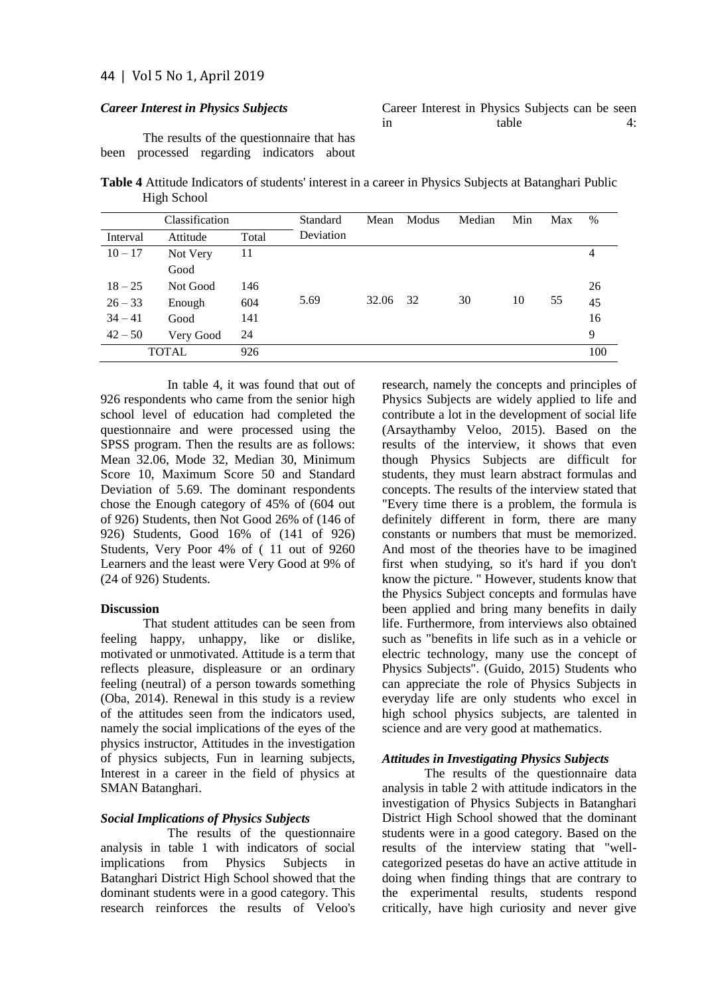### *Career Interest in Physics Subjects*

|    |  |       | Career Interest in Physics Subjects can be seen |  |  |
|----|--|-------|-------------------------------------------------|--|--|
| 1n |  | table |                                                 |  |  |

The results of the questionnaire that has been processed regarding indicators about

**Table 4** Attitude Indicators of students' interest in a career in Physics Subjects at Batanghari Public High School

|           | Classification |       | Standard  | Mean  | Modus | Median | Min | Max | %              |
|-----------|----------------|-------|-----------|-------|-------|--------|-----|-----|----------------|
| Interval  | Attitude       | Total | Deviation |       |       |        |     |     |                |
| $10 - 17$ | Not Very       | 11    |           |       |       |        |     |     | $\overline{4}$ |
|           | Good           |       |           |       |       |        |     |     |                |
| $18 - 25$ | Not Good       | 146   |           |       |       |        |     |     | 26             |
| $26 - 33$ | Enough         | 604   | 5.69      | 32.06 | 32    | 30     | 10  | 55  | 45             |
| $34 - 41$ | Good           | 141   |           |       |       |        |     |     | 16             |
| $42 - 50$ | Very Good      | 24    |           |       |       |        |     |     | 9              |
|           | <b>TOTAL</b>   | 926   |           |       |       |        |     |     | 100            |

In table 4, it was found that out of 926 respondents who came from the senior high school level of education had completed the questionnaire and were processed using the SPSS program. Then the results are as follows: Mean 32.06, Mode 32, Median 30, Minimum Score 10, Maximum Score 50 and Standard Deviation of 5.69. The dominant respondents chose the Enough category of 45% of (604 out of 926) Students, then Not Good 26% of (146 of 926) Students, Good 16% of (141 of 926) Students, Very Poor 4% of ( 11 out of 9260 Learners and the least were Very Good at 9% of (24 of 926) Students.

#### **Discussion**

That student attitudes can be seen from feeling happy, unhappy, like or dislike, motivated or unmotivated. Attitude is a term that reflects pleasure, displeasure or an ordinary feeling (neutral) of a person towards something (Oba, 2014). Renewal in this study is a review of the attitudes seen from the indicators used, namely the social implications of the eyes of the physics instructor, Attitudes in the investigation of physics subjects, Fun in learning subjects, Interest in a career in the field of physics at SMAN Batanghari.

#### *Social Implications of Physics Subjects*

The results of the questionnaire analysis in table 1 with indicators of social implications from Physics Subjects in Batanghari District High School showed that the dominant students were in a good category. This research reinforces the results of Veloo's

research, namely the concepts and principles of Physics Subjects are widely applied to life and contribute a lot in the development of social life (Arsaythamby Veloo, 2015). Based on the results of the interview, it shows that even though Physics Subjects are difficult for students, they must learn abstract formulas and concepts. The results of the interview stated that "Every time there is a problem, the formula is definitely different in form, there are many constants or numbers that must be memorized. And most of the theories have to be imagined first when studying, so it's hard if you don't know the picture. " However, students know that the Physics Subject concepts and formulas have been applied and bring many benefits in daily life. Furthermore, from interviews also obtained such as "benefits in life such as in a vehicle or electric technology, many use the concept of Physics Subjects". (Guido, 2015) Students who can appreciate the role of Physics Subjects in everyday life are only students who excel in high school physics subjects, are talented in science and are very good at mathematics.

## *Attitudes in Investigating Physics Subjects*

The results of the questionnaire data analysis in table 2 with attitude indicators in the investigation of Physics Subjects in Batanghari District High School showed that the dominant students were in a good category. Based on the results of the interview stating that "wellcategorized pesetas do have an active attitude in doing when finding things that are contrary to the experimental results, students respond critically, have high curiosity and never give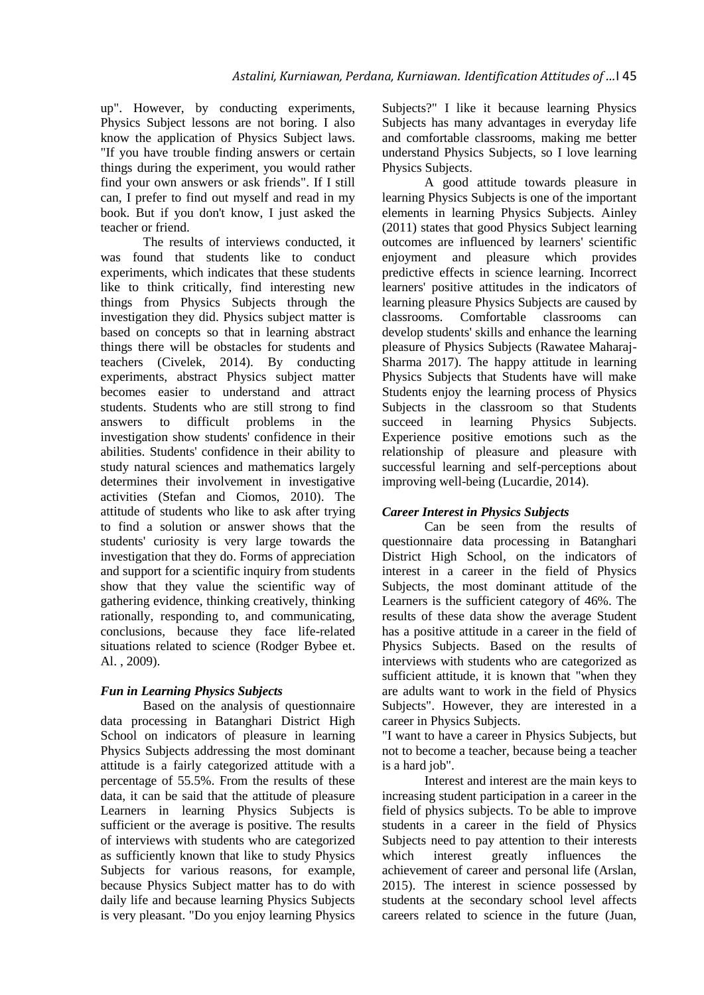up". However, by conducting experiments, Physics Subject lessons are not boring. I also know the application of Physics Subject laws. "If you have trouble finding answers or certain things during the experiment, you would rather find your own answers or ask friends". If I still can, I prefer to find out myself and read in my book. But if you don't know, I just asked the teacher or friend.

The results of interviews conducted, it was found that students like to conduct experiments, which indicates that these students like to think critically, find interesting new things from Physics Subjects through the investigation they did. Physics subject matter is based on concepts so that in learning abstract things there will be obstacles for students and teachers (Civelek, 2014). By conducting experiments, abstract Physics subject matter becomes easier to understand and attract students. Students who are still strong to find answers to difficult problems in the investigation show students' confidence in their abilities. Students' confidence in their ability to study natural sciences and mathematics largely determines their involvement in investigative activities (Stefan and Ciomos, 2010). The attitude of students who like to ask after trying to find a solution or answer shows that the students' curiosity is very large towards the investigation that they do. Forms of appreciation and support for a scientific inquiry from students show that they value the scientific way of gathering evidence, thinking creatively, thinking rationally, responding to, and communicating, conclusions, because they face life-related situations related to science (Rodger Bybee et. Al. , 2009).

# *Fun in Learning Physics Subjects*

Based on the analysis of questionnaire data processing in Batanghari District High School on indicators of pleasure in learning Physics Subjects addressing the most dominant attitude is a fairly categorized attitude with a percentage of 55.5%. From the results of these data, it can be said that the attitude of pleasure Learners in learning Physics Subjects is sufficient or the average is positive. The results of interviews with students who are categorized as sufficiently known that like to study Physics Subjects for various reasons, for example, because Physics Subject matter has to do with daily life and because learning Physics Subjects is very pleasant. "Do you enjoy learning Physics

Subjects?" I like it because learning Physics Subjects has many advantages in everyday life and comfortable classrooms, making me better understand Physics Subjects, so I love learning Physics Subjects.

A good attitude towards pleasure in learning Physics Subjects is one of the important elements in learning Physics Subjects. Ainley (2011) states that good Physics Subject learning outcomes are influenced by learners' scientific enjoyment and pleasure which provides predictive effects in science learning. Incorrect learners' positive attitudes in the indicators of learning pleasure Physics Subjects are caused by classrooms. Comfortable classrooms can develop students' skills and enhance the learning pleasure of Physics Subjects (Rawatee Maharaj-Sharma 2017). The happy attitude in learning Physics Subjects that Students have will make Students enjoy the learning process of Physics Subjects in the classroom so that Students succeed in learning Physics Subjects. Experience positive emotions such as the relationship of pleasure and pleasure with successful learning and self-perceptions about improving well-being (Lucardie, 2014).

# *Career Interest in Physics Subjects*

Can be seen from the results of questionnaire data processing in Batanghari District High School, on the indicators of interest in a career in the field of Physics Subjects, the most dominant attitude of the Learners is the sufficient category of 46%. The results of these data show the average Student has a positive attitude in a career in the field of Physics Subjects. Based on the results of interviews with students who are categorized as sufficient attitude, it is known that "when they are adults want to work in the field of Physics Subjects". However, they are interested in a career in Physics Subjects.

"I want to have a career in Physics Subjects, but not to become a teacher, because being a teacher is a hard job".

Interest and interest are the main keys to increasing student participation in a career in the field of physics subjects. To be able to improve students in a career in the field of Physics Subjects need to pay attention to their interests which interest greatly influences the achievement of career and personal life (Arslan, 2015). The interest in science possessed by students at the secondary school level affects careers related to science in the future (Juan,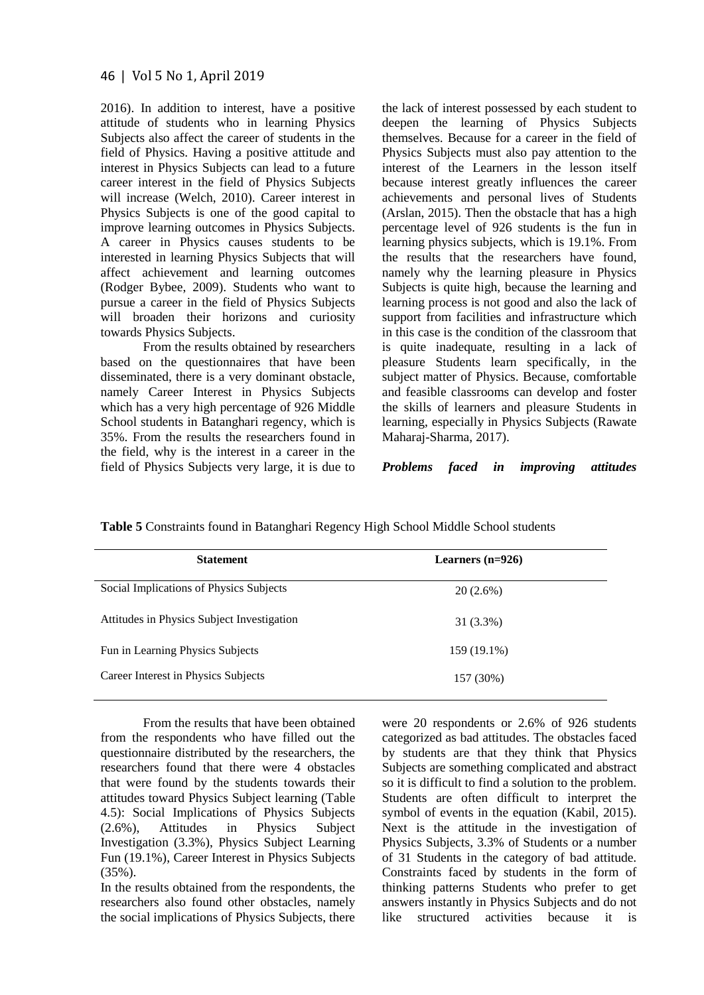2016). In addition to interest, have a positive attitude of students who in learning Physics Subjects also affect the career of students in the field of Physics. Having a positive attitude and interest in Physics Subjects can lead to a future career interest in the field of Physics Subjects will increase (Welch, 2010). Career interest in Physics Subjects is one of the good capital to improve learning outcomes in Physics Subjects. A career in Physics causes students to be interested in learning Physics Subjects that will affect achievement and learning outcomes (Rodger Bybee, 2009). Students who want to pursue a career in the field of Physics Subjects will broaden their horizons and curiosity towards Physics Subjects.

From the results obtained by researchers based on the questionnaires that have been disseminated, there is a very dominant obstacle, namely Career Interest in Physics Subjects which has a very high percentage of 926 Middle School students in Batanghari regency, which is 35%. From the results the researchers found in the field, why is the interest in a career in the field of Physics Subjects very large, it is due to

the lack of interest possessed by each student to deepen the learning of Physics Subjects themselves. Because for a career in the field of Physics Subjects must also pay attention to the interest of the Learners in the lesson itself because interest greatly influences the career achievements and personal lives of Students (Arslan, 2015). Then the obstacle that has a high percentage level of 926 students is the fun in learning physics subjects, which is 19.1%. From the results that the researchers have found, namely why the learning pleasure in Physics Subjects is quite high, because the learning and learning process is not good and also the lack of support from facilities and infrastructure which in this case is the condition of the classroom that is quite inadequate, resulting in a lack of pleasure Students learn specifically, in the subject matter of Physics. Because, comfortable and feasible classrooms can develop and foster the skills of learners and pleasure Students in learning, especially in Physics Subjects (Rawate Maharaj-Sharma, 2017).

*Problems faced in improving attitudes*

| <b>Statement</b>                           | Learners $(n=926)$ |  |
|--------------------------------------------|--------------------|--|
| Social Implications of Physics Subjects    | $20(2.6\%)$        |  |
| Attitudes in Physics Subject Investigation | 31 (3.3%)          |  |
| Fun in Learning Physics Subjects           | 159 (19.1%)        |  |
| Career Interest in Physics Subjects        | 157 (30%)          |  |
|                                            |                    |  |

**Table 5** Constraints found in Batanghari Regency High School Middle School students

From the results that have been obtained from the respondents who have filled out the questionnaire distributed by the researchers, the researchers found that there were 4 obstacles that were found by the students towards their attitudes toward Physics Subject learning (Table 4.5): Social Implications of Physics Subjects (2.6%), Attitudes in Physics Subject (2.6%), Attitudes in Physics Subject Investigation (3.3%), Physics Subject Learning Fun (19.1%), Career Interest in Physics Subjects (35%).

In the results obtained from the respondents, the researchers also found other obstacles, namely the social implications of Physics Subjects, there were 20 respondents or 2.6% of 926 students categorized as bad attitudes. The obstacles faced by students are that they think that Physics Subjects are something complicated and abstract so it is difficult to find a solution to the problem. Students are often difficult to interpret the symbol of events in the equation (Kabil, 2015). Next is the attitude in the investigation of Physics Subjects, 3.3% of Students or a number of 31 Students in the category of bad attitude. Constraints faced by students in the form of thinking patterns Students who prefer to get answers instantly in Physics Subjects and do not like structured activities because it is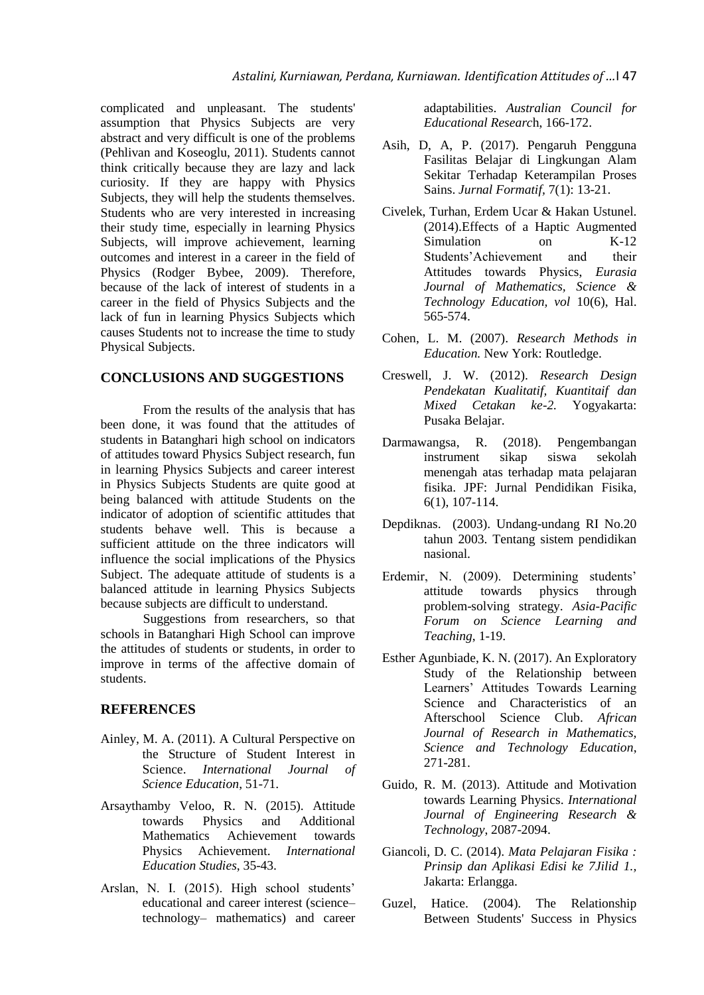complicated and unpleasant. The students' assumption that Physics Subjects are very abstract and very difficult is one of the problems (Pehlivan and Koseoglu, 2011). Students cannot think critically because they are lazy and lack curiosity. If they are happy with Physics Subjects, they will help the students themselves. Students who are very interested in increasing their study time, especially in learning Physics Subjects, will improve achievement, learning outcomes and interest in a career in the field of Physics (Rodger Bybee, 2009). Therefore, because of the lack of interest of students in a career in the field of Physics Subjects and the lack of fun in learning Physics Subjects which causes Students not to increase the time to study Physical Subjects.

## **CONCLUSIONS AND SUGGESTIONS**

From the results of the analysis that has been done, it was found that the attitudes of students in Batanghari high school on indicators of attitudes toward Physics Subject research, fun in learning Physics Subjects and career interest in Physics Subjects Students are quite good at being balanced with attitude Students on the indicator of adoption of scientific attitudes that students behave well. This is because a sufficient attitude on the three indicators will influence the social implications of the Physics Subject. The adequate attitude of students is a balanced attitude in learning Physics Subjects because subjects are difficult to understand.

Suggestions from researchers, so that schools in Batanghari High School can improve the attitudes of students or students, in order to improve in terms of the affective domain of students.

## **REFERENCES**

- Ainley, M. A. (2011). A Cultural Perspective on the Structure of Student Interest in Science. *International Journal of Science Education*, 51-71.
- Arsaythamby Veloo, R. N. (2015). Attitude towards Physics and Additional Mathematics Achievement towards Physics Achievement. *International Education Studies*, 35-43.
- Arslan, N. I. (2015). High school students' educational and career interest (science– technology– mathematics) and career

adaptabilities. *Australian Council for Educational Researc*h, 166-172.

- Asih, D, A, P. (2017). Pengaruh Pengguna Fasilitas Belajar di Lingkungan Alam Sekitar Terhadap Keterampilan Proses Sains. *Jurnal Formatif,* 7(1): 13-21.
- Civelek, Turhan, Erdem Ucar & Hakan Ustunel. (2014).Effects of a Haptic Augmented Simulation on K-12<br>Students'Achievement and their Students'Achievement and Attitudes towards Physics, *Eurasia Journal of Mathematics, Science & Technology Education, vol* 10(6), Hal. 565-574.
- Cohen, L. M. (2007). *Research Methods in Education.* New York: Routledge.
- Creswell, J. W. (2012). *Research Design Pendekatan Kualitatif, Kuantitaif dan Mixed Cetakan ke-2.* Yogyakarta: Pusaka Belajar.
- Darmawangsa, R. (2018). Pengembangan instrument sikap siswa sekolah menengah atas terhadap mata pelajaran fisika. JPF: Jurnal Pendidikan Fisika, 6(1), 107-114.
- Depdiknas. (2003). Undang-undang RI No.20 tahun 2003. Tentang sistem pendidikan nasional.
- Erdemir, N. (2009). Determining students' attitude towards physics through problem-solving strategy. *Asia-Pacific Forum on Science Learning and Teaching*, 1-19.
- Esther Agunbiade, K. N. (2017). An Exploratory Study of the Relationship between Learners' Attitudes Towards Learning Science and Characteristics of an Afterschool Science Club. *African Journal of Research in Mathematics, Science and Technology Education*, 271-281.
- Guido, R. M. (2013). Attitude and Motivation towards Learning Physics. *International Journal of Engineering Research & Technology*, 2087-2094.
- Giancoli, D. C. (2014). *Mata Pelajaran Fisika : Prinsip dan Aplikasi Edisi ke 7Jilid 1.,*  Jakarta: Erlangga.
- Guzel, Hatice. (2004). The Relationship Between Students' Success in Physics